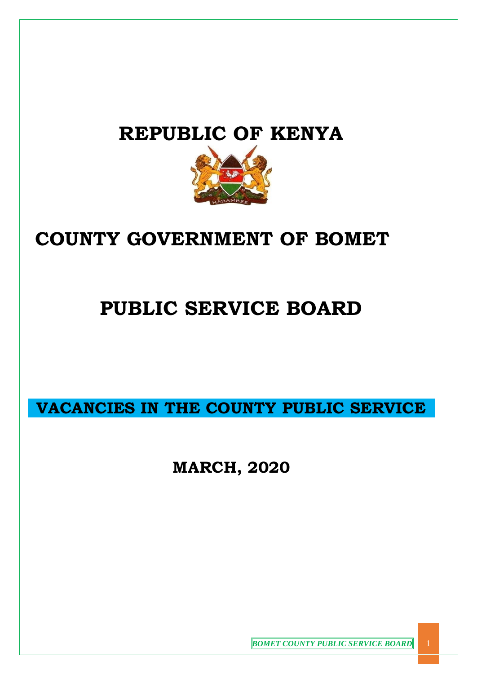## **REPUBLIC OF KENYA**



## **COUNTY GOVERNMENT OF BOMET**

# **PUBLIC SERVICE BOARD**

**VACANCIES IN THE COUNTY PUBLIC SERVICE** 

**MARCH, 2020**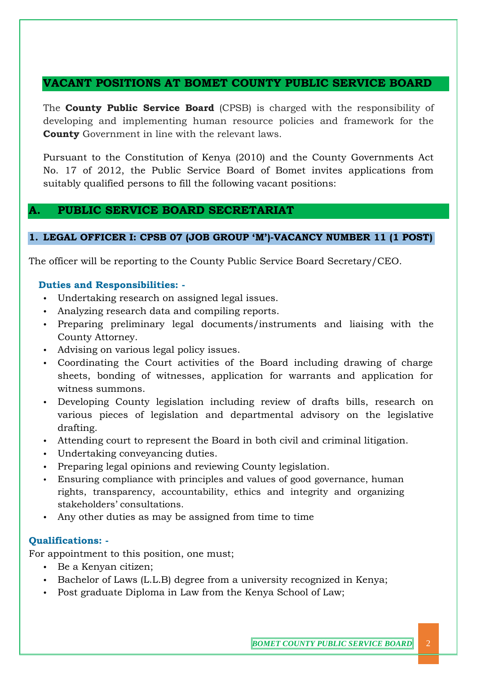## **VACANT POSITIONS AT BOMET COUNTY PUBLIC SERVICE BOARD**

The **County Public Service Board** (CPSB) is charged with the responsibility of developing and implementing human resource policies and framework for the **County** Government in line with the relevant laws.

Pursuant to the Constitution of Kenya (2010) and the County Governments Act No. 17 of 2012, the Public Service Board of Bomet invites applications from suitably qualified persons to fill the following vacant positions:

## **A. PUBLIC SERVICE BOARD SECRETARIAT**

#### **1. LEGAL OFFICER I: CPSB 07 (JOB GROUP 'M')-VACANCY NUMBER 11 (1 POST)**

The officer will be reporting to the County Public Service Board Secretary/CEO.

#### **Duties and Responsibilities: -**

- Undertaking research on assigned legal issues.
- Analyzing research data and compiling reports.
- Preparing preliminary legal documents/instruments and liaising with the County Attorney.
- Advising on various legal policy issues.
- Coordinating the Court activities of the Board including drawing of charge sheets, bonding of witnesses, application for warrants and application for witness summons.
- Developing County legislation including review of drafts bills, research on various pieces of legislation and departmental advisory on the legislative drafting.
- Attending court to represent the Board in both civil and criminal litigation.
- Undertaking conveyancing duties.
- Preparing legal opinions and reviewing County legislation.
- Ensuring compliance with principles and values of good governance, human rights, transparency, accountability, ethics and integrity and organizing stakeholders' consultations.
- Any other duties as may be assigned from time to time

## **Qualifications: -**

For appointment to this position, one must;

- Be a Kenyan citizen;
- Bachelor of Laws (L.L.B) degree from a university recognized in Kenya;
- Post graduate Diploma in Law from the Kenya School of Law;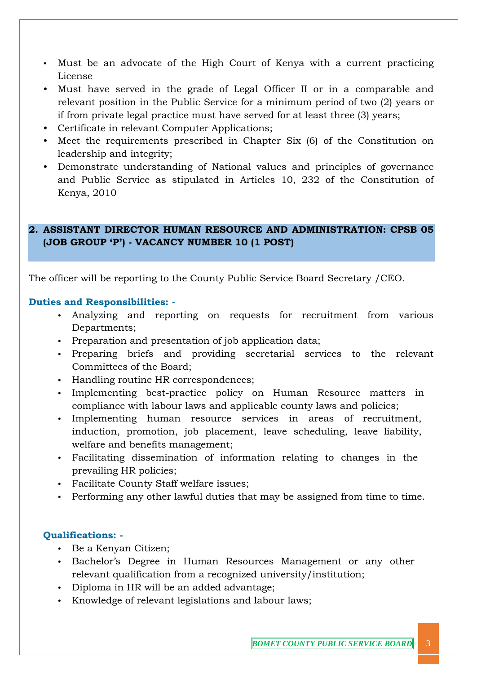- Must be an advocate of the High Court of Kenya with a current practicing License
- Must have served in the grade of Legal Officer II or in a comparable and relevant position in the Public Service for a minimum period of two (2) years or if from private legal practice must have served for at least three (3) years;
- Certificate in relevant Computer Applications;
- Meet the requirements prescribed in Chapter Six (6) of the Constitution on leadership and integrity;
- Demonstrate understanding of National values and principles of governance and Public Service as stipulated in Articles 10, 232 of the Constitution of Kenya, 2010

#### **2. ASSISTANT DIRECTOR HUMAN RESOURCE AND ADMINISTRATION: CPSB 05 (JOB GROUP 'P') - VACANCY NUMBER 10 (1 POST)**

The officer will be reporting to the County Public Service Board Secretary /CEO.

#### **Duties and Responsibilities: -**

- Analyzing and reporting on requests for recruitment from various Departments;
- Preparation and presentation of job application data;
- Preparing briefs and providing secretarial services to the relevant Committees of the Board;
- Handling routine HR correspondences;
- Implementing best-practice policy on Human Resource matters in compliance with labour laws and applicable county laws and policies;
- Implementing human resource services in areas of recruitment, induction, promotion, job placement, leave scheduling, leave liability, welfare and benefits management;
- Facilitating dissemination of information relating to changes in the prevailing HR policies;
- Facilitate County Staff welfare issues;
- Performing any other lawful duties that may be assigned from time to time.

#### **Qualifications: -**

- Be a Kenyan Citizen;
- Bachelor's Degree in Human Resources Management or any other relevant qualification from a recognized university/institution;
- Diploma in HR will be an added advantage;
- Knowledge of relevant legislations and labour laws;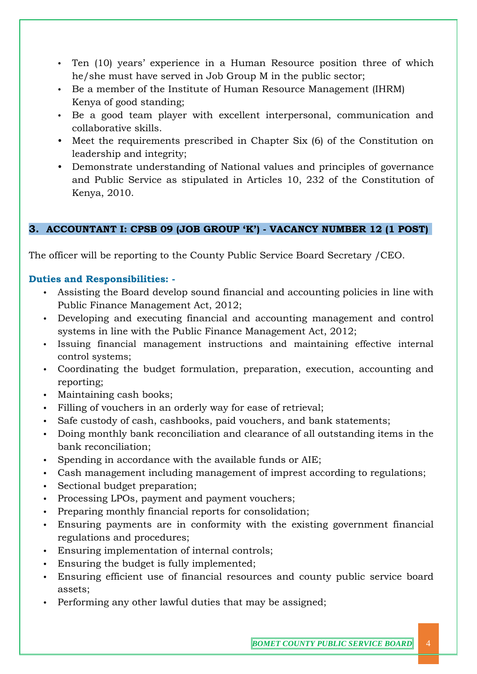- Ten (10) years' experience in a Human Resource position three of which he/she must have served in Job Group M in the public sector;
- Be a member of the Institute of Human Resource Management (IHRM) Kenya of good standing;
- Be a good team player with excellent interpersonal, communication and collaborative skills.
- Meet the requirements prescribed in Chapter Six (6) of the Constitution on leadership and integrity;
- Demonstrate understanding of National values and principles of governance and Public Service as stipulated in Articles 10, 232 of the Constitution of Kenya, 2010.

### **3. ACCOUNTANT I: CPSB 09 (JOB GROUP 'K') - VACANCY NUMBER 12 (1 POST)**

The officer will be reporting to the County Public Service Board Secretary /CEO.

#### **Duties and Responsibilities: -**

- Assisting the Board develop sound financial and accounting policies in line with Public Finance Management Act, 2012;
- Developing and executing financial and accounting management and control systems in line with the Public Finance Management Act, 2012;
- Issuing financial management instructions and maintaining effective internal control systems;
- Coordinating the budget formulation, preparation, execution, accounting and reporting;
- Maintaining cash books;
- Filling of vouchers in an orderly way for ease of retrieval;
- Safe custody of cash, cashbooks, paid vouchers, and bank statements;
- Doing monthly bank reconciliation and clearance of all outstanding items in the bank reconciliation;
- Spending in accordance with the available funds or AIE;
- Cash management including management of imprest according to regulations;
- Sectional budget preparation;
- Processing LPOs, payment and payment vouchers;
- Preparing monthly financial reports for consolidation;
- Ensuring payments are in conformity with the existing government financial regulations and procedures;
- Ensuring implementation of internal controls;
- Ensuring the budget is fully implemented;
- Ensuring efficient use of financial resources and county public service board assets;
- Performing any other lawful duties that may be assigned;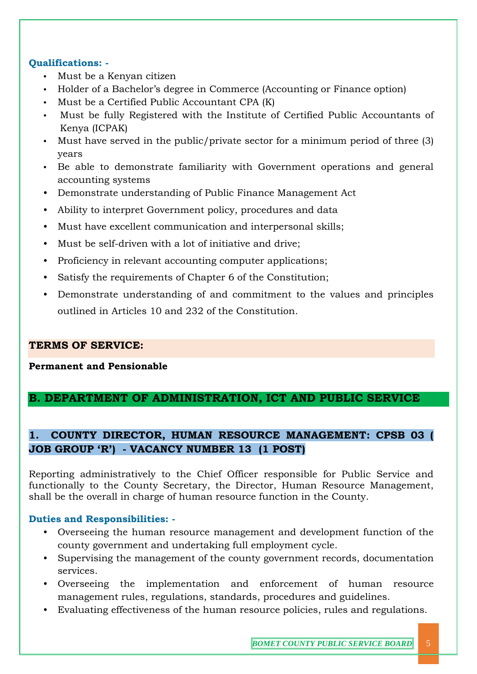#### **Qualifications: -**

- Must be a Kenyan citizen
- Holder of a Bachelor's degree in Commerce (Accounting or Finance option)
- Must be a Certified Public Accountant CPA (K)
- Must be fully Registered with the Institute of Certified Public Accountants of Kenya (ICPAK)
- Must have served in the public/private sector for a minimum period of three (3) years
- Be able to demonstrate familiarity with Government operations and general accounting systems
- Demonstrate understanding of Public Finance Management Act
- Ability to interpret Government policy, procedures and data
- Must have excellent communication and interpersonal skills;
- Must be self-driven with a lot of initiative and drive;
- Proficiency in relevant accounting computer applications;
- Satisfy the requirements of Chapter 6 of the Constitution;
- Demonstrate understanding of and commitment to the values and principles outlined in Articles 10 and 232 of the Constitution.

#### **TERMS OF SERVICE:**

#### **Permanent and Pensionable**

## **B. DEPARTMENT OF ADMINISTRATION, ICT AND PUBLIC SERVICE**

## **1. COUNTY DIRECTOR, HUMAN RESOURCE MANAGEMENT: CPSB 03 ( JOB GROUP 'R') - VACANCY NUMBER 13 (1 POST)**

Reporting administratively to the Chief Officer responsible for Public Service and functionally to the County Secretary, the Director, Human Resource Management, shall be the overall in charge of human resource function in the County.

#### **Duties and Responsibilities: -**

- Overseeing the human resource management and development function of the county government and undertaking full employment cycle.
- Supervising the management of the county government records, documentation services.
- Overseeing the implementation and enforcement of human resource management rules, regulations, standards, procedures and guidelines.
- Evaluating effectiveness of the human resource policies, rules and regulations.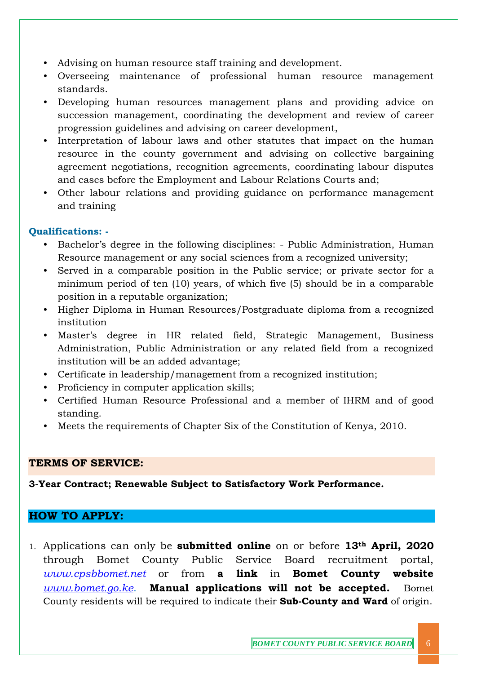- Advising on human resource staff training and development.
- Overseeing maintenance of professional human resource management standards.
- Developing human resources management plans and providing advice on succession management, coordinating the development and review of career progression guidelines and advising on career development,
- Interpretation of labour laws and other statutes that impact on the human resource in the county government and advising on collective bargaining agreement negotiations, recognition agreements, coordinating labour disputes and cases before the Employment and Labour Relations Courts and;
- Other labour relations and providing guidance on performance management and training

#### **Qualifications: -**

- Bachelor's degree in the following disciplines: Public Administration, Human Resource management or any social sciences from a recognized university;
- Served in a comparable position in the Public service; or private sector for a minimum period of ten (10) years, of which five (5) should be in a comparable position in a reputable organization;
- Higher Diploma in Human Resources/Postgraduate diploma from a recognized institution
- Master's degree in HR related field, Strategic Management, Business Administration, Public Administration or any related field from a recognized institution will be an added advantage;
- Certificate in leadership/management from a recognized institution;
- Proficiency in computer application skills;
- Certified Human Resource Professional and a member of IHRM and of good standing.
- Meets the requirements of Chapter Six of the Constitution of Kenya, 2010.

#### **TERMS OF SERVICE:**

**3-Year Contract; Renewable Subject to Satisfactory Work Performance.**

## **HOW TO APPLY:**

1. Applications can only be **submitted online** on or before **13th April, 2020** through Bomet County Public Service Board recruitment portal, *[www.cpsbbomet.net](http://www.cpsbbomet.net/)* or from **a link** in **Bomet County website** *[www.bomet.go.ke](http://www.bomet.go.ke/)*. **Manual applications will not be accepted.** Bomet County residents will be required to indicate their **Sub-County and Ward** of origin.